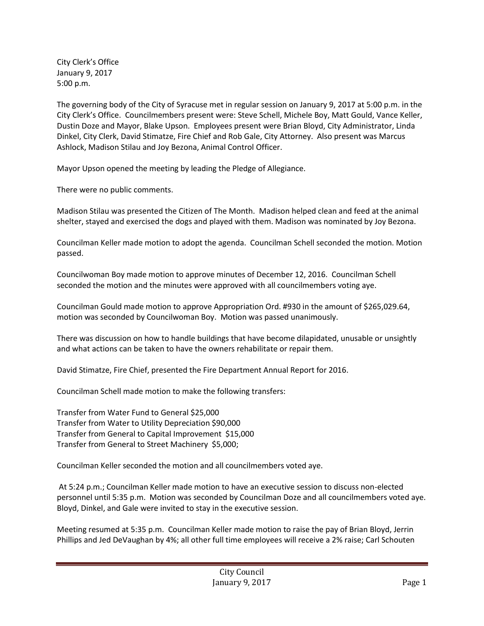City Clerk's Office January 9, 2017 5:00 p.m.

The governing body of the City of Syracuse met in regular session on January 9, 2017 at 5:00 p.m. in the City Clerk's Office. Councilmembers present were: Steve Schell, Michele Boy, Matt Gould, Vance Keller, Dustin Doze and Mayor, Blake Upson. Employees present were Brian Bloyd, City Administrator, Linda Dinkel, City Clerk, David Stimatze, Fire Chief and Rob Gale, City Attorney. Also present was Marcus Ashlock, Madison Stilau and Joy Bezona, Animal Control Officer.

Mayor Upson opened the meeting by leading the Pledge of Allegiance.

There were no public comments.

Madison Stilau was presented the Citizen of The Month. Madison helped clean and feed at the animal shelter, stayed and exercised the dogs and played with them. Madison was nominated by Joy Bezona.

Councilman Keller made motion to adopt the agenda. Councilman Schell seconded the motion. Motion passed.

Councilwoman Boy made motion to approve minutes of December 12, 2016. Councilman Schell seconded the motion and the minutes were approved with all councilmembers voting aye.

Councilman Gould made motion to approve Appropriation Ord. #930 in the amount of \$265,029.64, motion was seconded by Councilwoman Boy. Motion was passed unanimously.

There was discussion on how to handle buildings that have become dilapidated, unusable or unsightly and what actions can be taken to have the owners rehabilitate or repair them.

David Stimatze, Fire Chief, presented the Fire Department Annual Report for 2016.

Councilman Schell made motion to make the following transfers:

Transfer from Water Fund to General \$25,000 Transfer from Water to Utility Depreciation \$90,000 Transfer from General to Capital Improvement \$15,000 Transfer from General to Street Machinery \$5,000;

Councilman Keller seconded the motion and all councilmembers voted aye.

At 5:24 p.m.; Councilman Keller made motion to have an executive session to discuss non-elected personnel until 5:35 p.m. Motion was seconded by Councilman Doze and all councilmembers voted aye. Bloyd, Dinkel, and Gale were invited to stay in the executive session.

Meeting resumed at 5:35 p.m. Councilman Keller made motion to raise the pay of Brian Bloyd, Jerrin Phillips and Jed DeVaughan by 4%; all other full time employees will receive a 2% raise; Carl Schouten